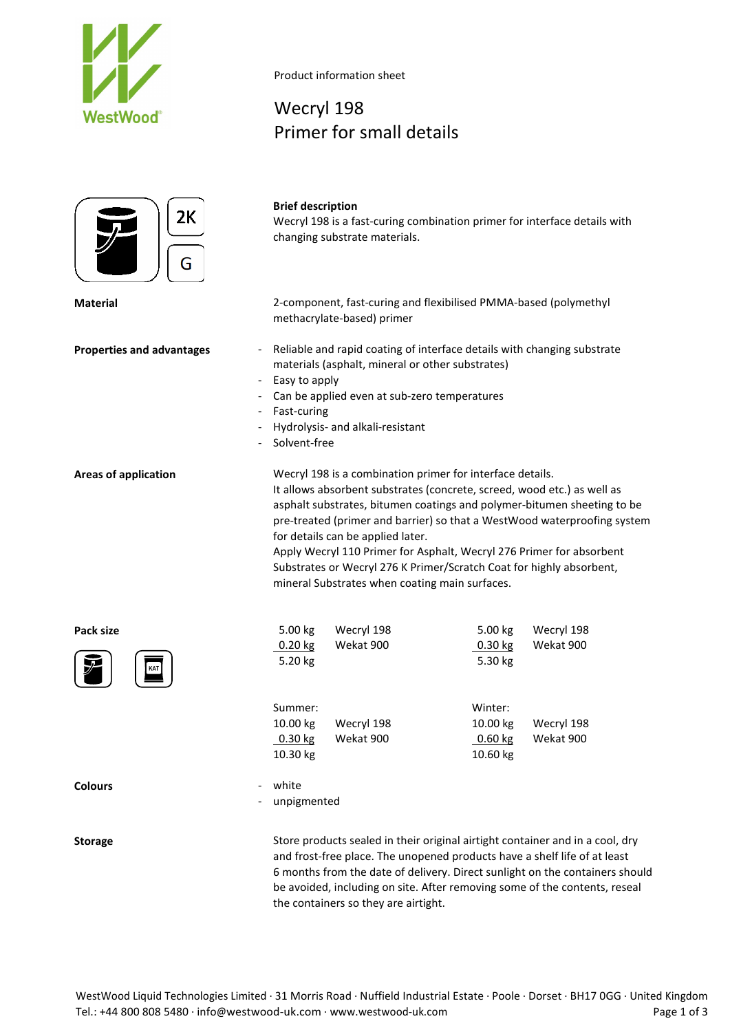



Product information sheet

## Wecryl 198 Primer for small details

## **Brief description**

Wecryl 198 is a fast-curing combination primer for interface details with changing substrate materials.

**Material** 2-component, fast-curing and flexibilised PMMA-based (polymethyl methacrylate-based) primer

- **Properties and advantages** Reliable and rapid coating of interface details with changing substrate materials (asphalt, mineral or other substrates)
	- Easy to apply
	- Can be applied even at sub-zero temperatures
	- Fast-curing
	- Hydrolysis- and alkali-resistant
	- Solvent-free

**Areas of application** Wecryl 198 is a combination primer for interface details. It allows absorbent substrates (concrete, screed, wood etc.) as well as asphalt substrates, bitumen coatings and polymer-bitumen sheeting to be pre-treated (primer and barrier) so that a WestWood waterproofing system for details can be applied later.

> Apply Wecryl 110 Primer for Asphalt, Wecryl 276 Primer for absorbent Substrates or Wecryl 276 K Primer/Scratch Coat for highly absorbent, mineral Substrates when coating main surfaces.

| Pack size                                  | 5.00 kg              | Wecryl 198 | 5.00 kg              | Wecryl 198 |
|--------------------------------------------|----------------------|------------|----------------------|------------|
| $\mathcal{F}$<br>KAT                       | $0.20$ kg<br>5.20 kg | Wekat 900  | $0.30$ kg<br>5.30 kg | Wekat 900  |
|                                            | Summer:              |            | Winter:              |            |
|                                            | 10.00 kg             | Wecryl 198 | 10.00 kg             | Wecryl 198 |
|                                            | $0.30$ kg            | Wekat 900  | 0.60 kg              | Wekat 900  |
|                                            | 10.30 kg             |            | 10.60 kg             |            |
| <b>Colours</b><br>$\overline{\phantom{0}}$ | white                |            |                      |            |
| $\overline{\phantom{a}}$                   | unpigmented          |            |                      |            |
|                                            |                      |            |                      |            |

**Storage** Store products sealed in their original airtight container and in a cool, dry and frost-free place. The unopened products have a shelf life of at least 6 months from the date of delivery. Direct sunlight on the containers should be avoided, including on site. After removing some of the contents, reseal the containers so they are airtight.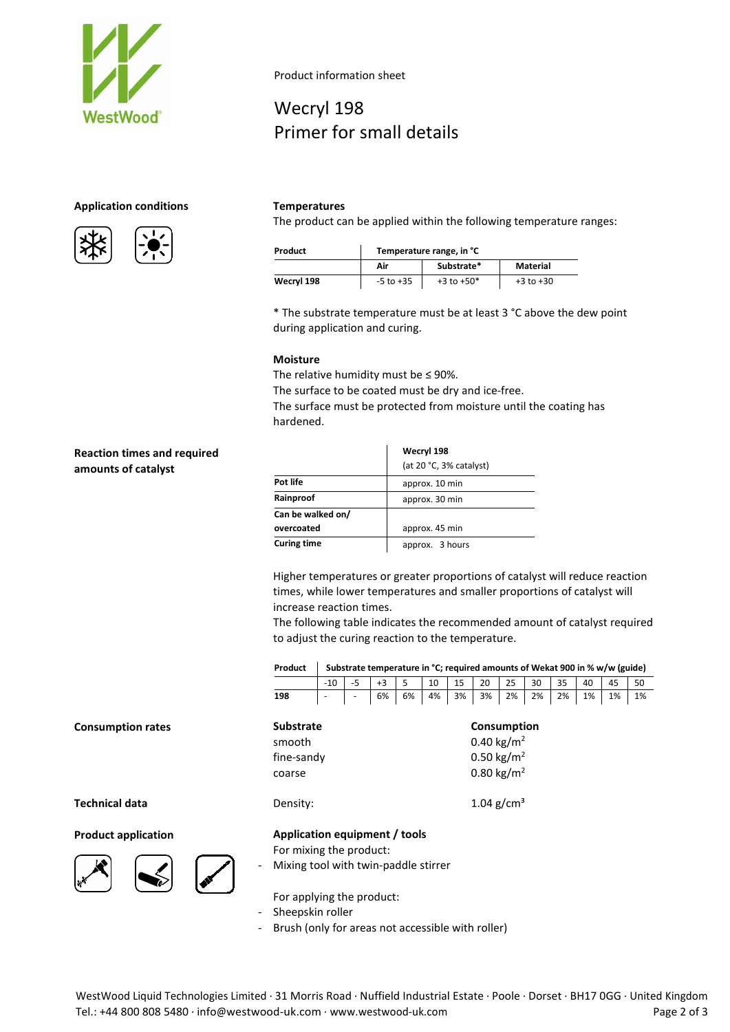

### **Application conditions Temperatures**





Product information sheet

# Wecryl 198 Primer for small details

The product can be applied within the following temperature ranges:

| Product    | Temperature range, in °C |                |               |  |  |  |
|------------|--------------------------|----------------|---------------|--|--|--|
|            | Air                      | Substrate*     | Material      |  |  |  |
| Wecryl 198 | $-5$ to $+35$            | $+3$ to $+50*$ | $+3$ to $+30$ |  |  |  |

\* The substrate temperature must be at least 3 °C above the dew point during application and curing.

#### **Moisture**

The relative humidity must be ≤ 90%.

The surface to be coated must be dry and ice-free.

The surface must be protected from moisture until the coating has hardened.

### **Reaction times and required amounts of catalyst**

|                    | Wecryl 198              |
|--------------------|-------------------------|
|                    | (at 20 °C, 3% catalyst) |
| Pot life           | approx. 10 min          |
| Rainproof          | approx. 30 min          |
| Can be walked on/  |                         |
| overcoated         | approx. 45 min          |
| <b>Curing time</b> | approx. 3 hours         |

Higher temperatures or greater proportions of catalyst will reduce reaction times, while lower temperatures and smaller proportions of catalyst will increase reaction times.

The following table indicates the recommended amount of catalyst required to adjust the curing reaction to the temperature.

|     | Product   Substrate temperature in °C; required amounts of Wekat 900 in % w/w (guide)                                                        |  |                                                                                          |  |  |  |  |  |  |  |
|-----|----------------------------------------------------------------------------------------------------------------------------------------------|--|------------------------------------------------------------------------------------------|--|--|--|--|--|--|--|
|     |                                                                                                                                              |  | $-10$   $-5$   $+3$   $5$   $10$   $15$   $20$   $25$   $30$   $35$   $40$   $45$   $50$ |  |  |  |  |  |  |  |
| 198 | $\vert$ - $\vert$ - $\vert$ 6% $\vert$ 6% $\vert$ 4% $\vert$ 3% $\vert$ 3% $\vert$ 2% $\vert$ 2% $\vert$ 2% $\vert$ 1% $\vert$ 1% $\vert$ 1% |  |                                                                                          |  |  |  |  |  |  |  |

| <b>Substrate</b> | Consumption            |
|------------------|------------------------|
| smooth           | 0.40 kg/m <sup>2</sup> |
| fine-sandy       | 0.50 kg/m <sup>2</sup> |
| coarse           | 0.80 kg/m <sup>2</sup> |
|                  |                        |

#### **Product application Application equipment / tools**

For mixing the product:

Mixing tool with twin-paddle stirrer

For applying the product:

Sheepskin roller

Brush (only for areas not accessible with roller)

**Consumption rates** 

**Technical data Density: Density:** 1.04 g/cm<sup>3</sup>